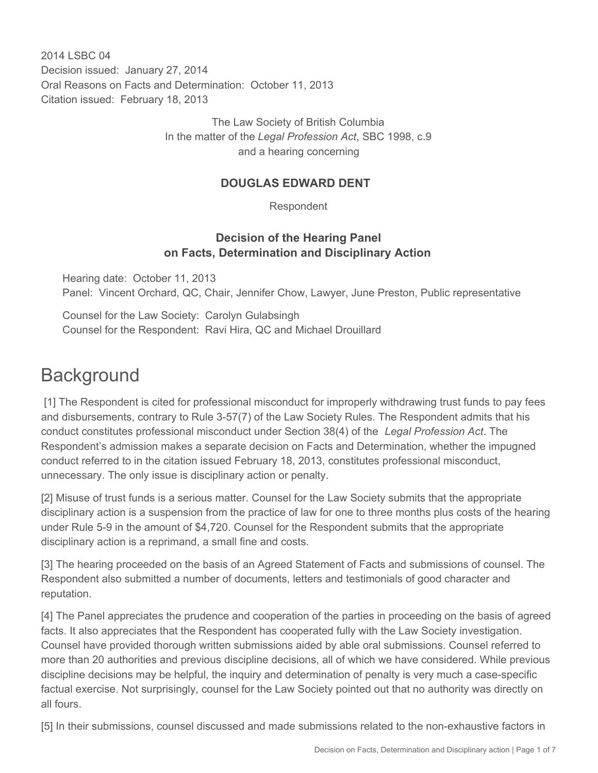2014 I SBC 04 Decision issued: January 27, 2014 Oral Reasons on Facts and Determination: October 11, 2013 Citation issued: February 18, 2013

> The Law Society of British Columbia In the matter of the *Legal Profession Act*, SBC 1998, c.9 and a hearing concerning

### **DOUGLAS EDWARD DENT**

Respondent

### **Decision of the Hearing Panel on Facts, Determination and Disciplinary Action**

Hearing date: October 11, 2013 Panel: Vincent Orchard, QC, Chair, Jennifer Chow, Lawyer, June Preston, Public representative

Counsel for the Law Society: Carolyn Gulabsingh Counsel for the Respondent: Ravi Hira, QC and Michael Drouillard

## **Background**

 [1] The Respondent is cited for professional misconduct for improperly withdrawing trust funds to pay fees and disbursements, contrary to Rule 3-57(7) of the Law Society Rules. The Respondent admits that his conduct constitutes professional misconduct under Section 38(4) of the *Legal Profession Act*. The Respondent's admission makes a separate decision on Facts and Determination, whether the impugned conduct referred to in the citation issued February 18, 2013, constitutes professional misconduct, unnecessary. The only issue is disciplinary action or penalty.

[2] Misuse of trust funds is a serious matter. Counsel for the Law Society submits that the appropriate disciplinary action is a suspension from the practice of law for one to three months plus costs of the hearing under Rule 5-9 in the amount of \$4,720. Counsel for the Respondent submits that the appropriate disciplinary action is a reprimand, a small fine and costs.

[3] The hearing proceeded on the basis of an Agreed Statement of Facts and submissions of counsel. The Respondent also submitted a number of documents, letters and testimonials of good character and reputation.

[4] The Panel appreciates the prudence and cooperation of the parties in proceeding on the basis of agreed facts. It also appreciates that the Respondent has cooperated fully with the Law Society investigation. Counsel have provided thorough written submissions aided by able oral submissions. Counsel referred to more than 20 authorities and previous discipline decisions, all of which we have considered. While previous discipline decisions may be helpful, the inquiry and determination of penalty is very much a case-specific factual exercise. Not surprisingly, counsel for the Law Society pointed out that no authority was directly on all fours.

[5] In their submissions, counsel discussed and made submissions related to the non-exhaustive factors in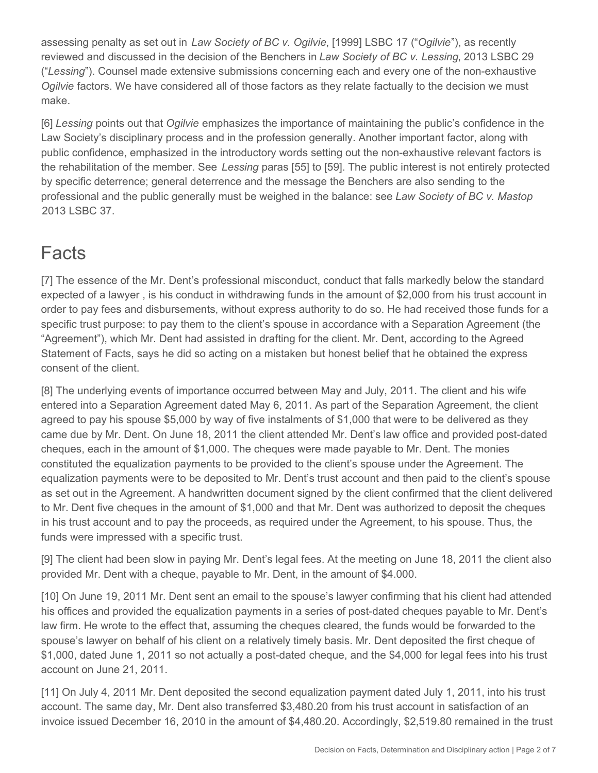assessing penalty as set out in *Law Society of BC v. Ogilvie*, [1999] LSBC 17 ("*Ogilvie*"), as recently reviewed and discussed in the decision of the Benchers in *Law Society of BC v. Lessing*, 2013 LSBC 29 ("*Lessing*"). Counsel made extensive submissions concerning each and every one of the non-exhaustive *Ogilvie* factors. We have considered all of those factors as they relate factually to the decision we must make.

[6] *Lessing* points out that *Ogilvie* emphasizes the importance of maintaining the public's confidence in the Law Society's disciplinary process and in the profession generally. Another important factor, along with public confidence, emphasized in the introductory words setting out the non-exhaustive relevant factors is the rehabilitation of the member. See *Lessing* paras [55] to [59]. The public interest is not entirely protected by specific deterrence; general deterrence and the message the Benchers are also sending to the professional and the public generally must be weighed in the balance: see *Law Society of BC v. Mastop* 2013 LSBC 37.

### **Facts**

[7] The essence of the Mr. Dent's professional misconduct, conduct that falls markedly below the standard expected of a lawyer , is his conduct in withdrawing funds in the amount of \$2,000 from his trust account in order to pay fees and disbursements, without express authority to do so. He had received those funds for a specific trust purpose: to pay them to the client's spouse in accordance with a Separation Agreement (the "Agreement"), which Mr. Dent had assisted in drafting for the client. Mr. Dent, according to the Agreed Statement of Facts, says he did so acting on a mistaken but honest belief that he obtained the express consent of the client.

[8] The underlying events of importance occurred between May and July, 2011. The client and his wife entered into a Separation Agreement dated May 6, 2011. As part of the Separation Agreement, the client agreed to pay his spouse \$5,000 by way of five instalments of \$1,000 that were to be delivered as they came due by Mr. Dent. On June 18, 2011 the client attended Mr. Dent's law office and provided post-dated cheques, each in the amount of \$1,000. The cheques were made payable to Mr. Dent. The monies constituted the equalization payments to be provided to the client's spouse under the Agreement. The equalization payments were to be deposited to Mr. Dent's trust account and then paid to the client's spouse as set out in the Agreement. A handwritten document signed by the client confirmed that the client delivered to Mr. Dent five cheques in the amount of \$1,000 and that Mr. Dent was authorized to deposit the cheques in his trust account and to pay the proceeds, as required under the Agreement, to his spouse. Thus, the funds were impressed with a specific trust.

[9] The client had been slow in paying Mr. Dent's legal fees. At the meeting on June 18, 2011 the client also provided Mr. Dent with a cheque, payable to Mr. Dent, in the amount of \$4.000.

[10] On June 19, 2011 Mr. Dent sent an email to the spouse's lawyer confirming that his client had attended his offices and provided the equalization payments in a series of post-dated cheques payable to Mr. Dent's law firm. He wrote to the effect that, assuming the cheques cleared, the funds would be forwarded to the spouse's lawyer on behalf of his client on a relatively timely basis. Mr. Dent deposited the first cheque of \$1,000, dated June 1, 2011 so not actually a post-dated cheque, and the \$4,000 for legal fees into his trust account on June 21, 2011.

[11] On July 4, 2011 Mr. Dent deposited the second equalization payment dated July 1, 2011, into his trust account. The same day, Mr. Dent also transferred \$3,480.20 from his trust account in satisfaction of an invoice issued December 16, 2010 in the amount of \$4,480.20. Accordingly, \$2,519.80 remained in the trust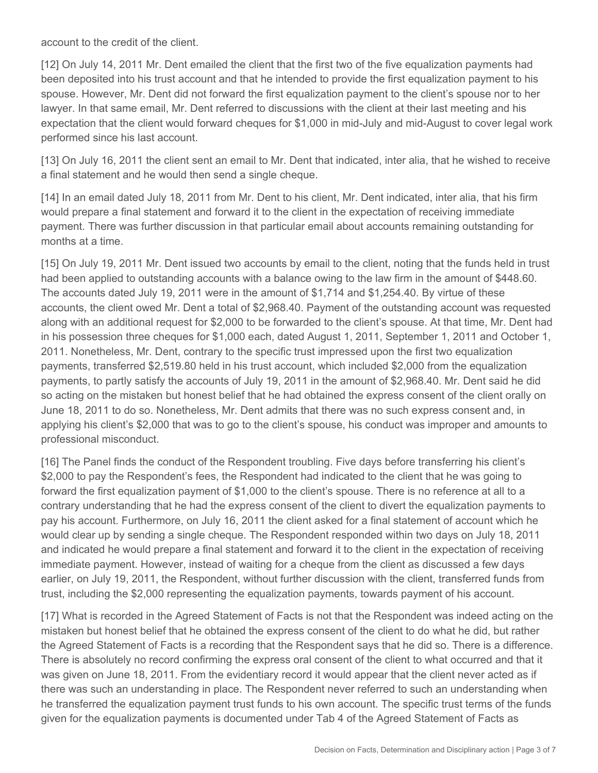account to the credit of the client.

[12] On July 14, 2011 Mr. Dent emailed the client that the first two of the five equalization payments had been deposited into his trust account and that he intended to provide the first equalization payment to his spouse. However, Mr. Dent did not forward the first equalization payment to the client's spouse nor to her lawyer. In that same email, Mr. Dent referred to discussions with the client at their last meeting and his expectation that the client would forward cheques for \$1,000 in mid-July and mid-August to cover legal work performed since his last account.

[13] On July 16, 2011 the client sent an email to Mr. Dent that indicated, inter alia, that he wished to receive a final statement and he would then send a single cheque.

[14] In an email dated July 18, 2011 from Mr. Dent to his client, Mr. Dent indicated, inter alia, that his firm would prepare a final statement and forward it to the client in the expectation of receiving immediate payment. There was further discussion in that particular email about accounts remaining outstanding for months at a time.

[15] On July 19, 2011 Mr. Dent issued two accounts by email to the client, noting that the funds held in trust had been applied to outstanding accounts with a balance owing to the law firm in the amount of \$448.60. The accounts dated July 19, 2011 were in the amount of \$1,714 and \$1,254.40. By virtue of these accounts, the client owed Mr. Dent a total of \$2,968.40. Payment of the outstanding account was requested along with an additional request for \$2,000 to be forwarded to the client's spouse. At that time, Mr. Dent had in his possession three cheques for \$1,000 each, dated August 1, 2011, September 1, 2011 and October 1, 2011. Nonetheless, Mr. Dent, contrary to the specific trust impressed upon the first two equalization payments, transferred \$2,519.80 held in his trust account, which included \$2,000 from the equalization payments, to partly satisfy the accounts of July 19, 2011 in the amount of \$2,968.40. Mr. Dent said he did so acting on the mistaken but honest belief that he had obtained the express consent of the client orally on June 18, 2011 to do so. Nonetheless, Mr. Dent admits that there was no such express consent and, in applying his client's \$2,000 that was to go to the client's spouse, his conduct was improper and amounts to professional misconduct.

[16] The Panel finds the conduct of the Respondent troubling. Five days before transferring his client's \$2,000 to pay the Respondent's fees, the Respondent had indicated to the client that he was going to forward the first equalization payment of \$1,000 to the client's spouse. There is no reference at all to a contrary understanding that he had the express consent of the client to divert the equalization payments to pay his account. Furthermore, on July 16, 2011 the client asked for a final statement of account which he would clear up by sending a single cheque. The Respondent responded within two days on July 18, 2011 and indicated he would prepare a final statement and forward it to the client in the expectation of receiving immediate payment. However, instead of waiting for a cheque from the client as discussed a few days earlier, on July 19, 2011, the Respondent, without further discussion with the client, transferred funds from trust, including the \$2,000 representing the equalization payments, towards payment of his account.

[17] What is recorded in the Agreed Statement of Facts is not that the Respondent was indeed acting on the mistaken but honest belief that he obtained the express consent of the client to do what he did, but rather the Agreed Statement of Facts is a recording that the Respondent says that he did so. There is a difference. There is absolutely no record confirming the express oral consent of the client to what occurred and that it was given on June 18, 2011. From the evidentiary record it would appear that the client never acted as if there was such an understanding in place. The Respondent never referred to such an understanding when he transferred the equalization payment trust funds to his own account. The specific trust terms of the funds given for the equalization payments is documented under Tab 4 of the Agreed Statement of Facts as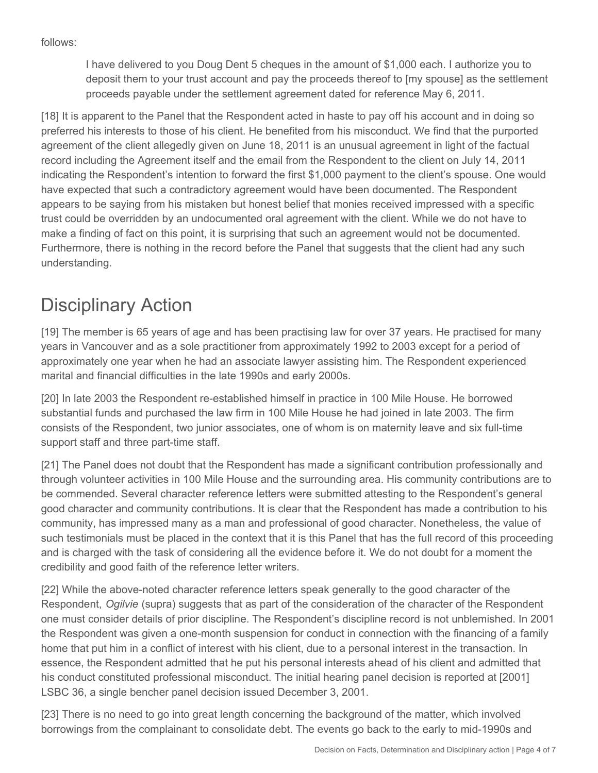follows:

I have delivered to you Doug Dent 5 cheques in the amount of \$1,000 each. I authorize you to deposit them to your trust account and pay the proceeds thereof to [my spouse] as the settlement proceeds payable under the settlement agreement dated for reference May 6, 2011.

[18] It is apparent to the Panel that the Respondent acted in haste to pay off his account and in doing so preferred his interests to those of his client. He benefited from his misconduct. We find that the purported agreement of the client allegedly given on June 18, 2011 is an unusual agreement in light of the factual record including the Agreement itself and the email from the Respondent to the client on July 14, 2011 indicating the Respondent's intention to forward the first \$1,000 payment to the client's spouse. One would have expected that such a contradictory agreement would have been documented. The Respondent appears to be saying from his mistaken but honest belief that monies received impressed with a specific trust could be overridden by an undocumented oral agreement with the client. While we do not have to make a finding of fact on this point, it is surprising that such an agreement would not be documented. Furthermore, there is nothing in the record before the Panel that suggests that the client had any such understanding.

# Disciplinary Action

[19] The member is 65 years of age and has been practising law for over 37 years. He practised for many years in Vancouver and as a sole practitioner from approximately 1992 to 2003 except for a period of approximately one year when he had an associate lawyer assisting him. The Respondent experienced marital and financial difficulties in the late 1990s and early 2000s.

[20] In late 2003 the Respondent re-established himself in practice in 100 Mile House. He borrowed substantial funds and purchased the law firm in 100 Mile House he had joined in late 2003. The firm consists of the Respondent, two junior associates, one of whom is on maternity leave and six full-time support staff and three part-time staff.

[21] The Panel does not doubt that the Respondent has made a significant contribution professionally and through volunteer activities in 100 Mile House and the surrounding area. His community contributions are to be commended. Several character reference letters were submitted attesting to the Respondent's general good character and community contributions. It is clear that the Respondent has made a contribution to his community, has impressed many as a man and professional of good character. Nonetheless, the value of such testimonials must be placed in the context that it is this Panel that has the full record of this proceeding and is charged with the task of considering all the evidence before it. We do not doubt for a moment the credibility and good faith of the reference letter writers.

[22] While the above-noted character reference letters speak generally to the good character of the Respondent, *Ogilvie* (supra) suggests that as part of the consideration of the character of the Respondent one must consider details of prior discipline. The Respondent's discipline record is not unblemished. In 2001 the Respondent was given a one-month suspension for conduct in connection with the financing of a family home that put him in a conflict of interest with his client, due to a personal interest in the transaction. In essence, the Respondent admitted that he put his personal interests ahead of his client and admitted that his conduct constituted professional misconduct. The initial hearing panel decision is reported at [2001] LSBC 36, a single bencher panel decision issued December 3, 2001.

[23] There is no need to go into great length concerning the background of the matter, which involved borrowings from the complainant to consolidate debt. The events go back to the early to mid-1990s and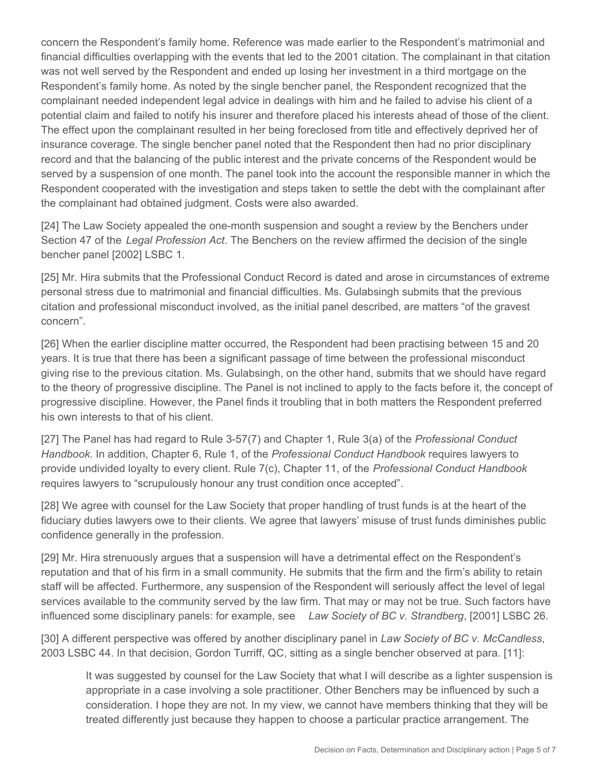concern the Respondent's family home. Reference was made earlier to the Respondent's matrimonial and financial difficulties overlapping with the events that led to the 2001 citation. The complainant in that citation was not well served by the Respondent and ended up losing her investment in a third mortgage on the Respondent's family home. As noted by the single bencher panel, the Respondent recognized that the complainant needed independent legal advice in dealings with him and he failed to advise his client of a potential claim and failed to notify his insurer and therefore placed his interests ahead of those of the client. The effect upon the complainant resulted in her being foreclosed from title and effectively deprived her of insurance coverage. The single bencher panel noted that the Respondent then had no prior disciplinary record and that the balancing of the public interest and the private concerns of the Respondent would be served by a suspension of one month. The panel took into the account the responsible manner in which the Respondent cooperated with the investigation and steps taken to settle the debt with the complainant after the complainant had obtained judgment. Costs were also awarded.

[24] The Law Society appealed the one-month suspension and sought a review by the Benchers under Section 47 of the *Legal Profession Act*. The Benchers on the review affirmed the decision of the single bencher panel [2002] LSBC 1.

[25] Mr. Hira submits that the Professional Conduct Record is dated and arose in circumstances of extreme personal stress due to matrimonial and financial difficulties. Ms. Gulabsingh submits that the previous citation and professional misconduct involved, as the initial panel described, are matters "of the gravest concern".

[26] When the earlier discipline matter occurred, the Respondent had been practising between 15 and 20 years. It is true that there has been a significant passage of time between the professional misconduct giving rise to the previous citation. Ms. Gulabsingh, on the other hand, submits that we should have regard to the theory of progressive discipline. The Panel is not inclined to apply to the facts before it, the concept of progressive discipline. However, the Panel finds it troubling that in both matters the Respondent preferred his own interests to that of his client.

[27] The Panel has had regard to Rule 3-57(7) and Chapter 1, Rule 3(a) of the *Professional Conduct Handbook*. In addition, Chapter 6, Rule 1, of the *Professional Conduct Handbook* requires lawyers to provide undivided loyalty to every client. Rule 7(c), Chapter 11, of the *Professional Conduct Handbook*  requires lawyers to "scrupulously honour any trust condition once accepted".

[28] We agree with counsel for the Law Society that proper handling of trust funds is at the heart of the fiduciary duties lawyers owe to their clients. We agree that lawyers' misuse of trust funds diminishes public confidence generally in the profession.

[29] Mr. Hira strenuously argues that a suspension will have a detrimental effect on the Respondent's reputation and that of his firm in a small community. He submits that the firm and the firm's ability to retain staff will be affected. Furthermore, any suspension of the Respondent will seriously affect the level of legal services available to the community served by the law firm. That may or may not be true. Such factors have influenced some disciplinary panels: for example, see *Law Society of BC v. Strandberg*, [2001] LSBC 26.

[30] A different perspective was offered by another disciplinary panel in *Law Society of BC v. McCandless*, 2003 LSBC 44. In that decision, Gordon Turriff, QC, sitting as a single bencher observed at para. [11]:

It was suggested by counsel for the Law Society that what I will describe as a lighter suspension is appropriate in a case involving a sole practitioner. Other Benchers may be influenced by such a consideration. I hope they are not. In my view, we cannot have members thinking that they will be treated differently just because they happen to choose a particular practice arrangement. The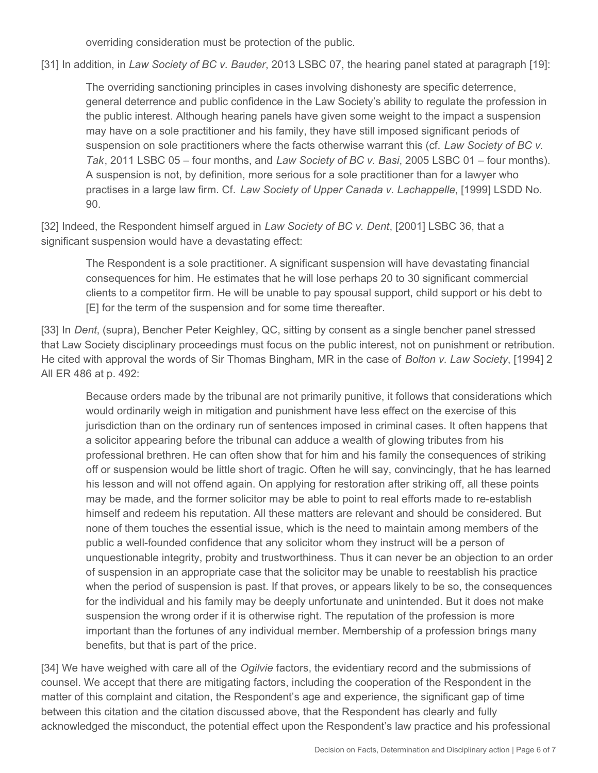overriding consideration must be protection of the public.

[31] In addition, in *Law Society of BC v. Bauder*, 2013 LSBC 07, the hearing panel stated at paragraph [19]:

The overriding sanctioning principles in cases involving dishonesty are specific deterrence, general deterrence and public confidence in the Law Society's ability to regulate the profession in the public interest. Although hearing panels have given some weight to the impact a suspension may have on a sole practitioner and his family, they have still imposed significant periods of suspension on sole practitioners where the facts otherwise warrant this (cf. *Law Society of BC v. Tak*, 2011 LSBC 05 – four months, and *Law Society of BC v. Basi*, 2005 LSBC 01 – four months). A suspension is not, by definition, more serious for a sole practitioner than for a lawyer who practises in a large law firm. Cf. *Law Society of Upper Canada v. Lachappelle*, [1999] LSDD No. 90.

[32] Indeed, the Respondent himself argued in *Law Society of BC v. Dent*, [2001] LSBC 36, that a significant suspension would have a devastating effect:

The Respondent is a sole practitioner. A significant suspension will have devastating financial consequences for him. He estimates that he will lose perhaps 20 to 30 significant commercial clients to a competitor firm. He will be unable to pay spousal support, child support or his debt to [E] for the term of the suspension and for some time thereafter.

[33] In *Dent*, (supra), Bencher Peter Keighley, QC, sitting by consent as a single bencher panel stressed that Law Society disciplinary proceedings must focus on the public interest, not on punishment or retribution. He cited with approval the words of Sir Thomas Bingham, MR in the case of *Bolton v. Law Society*, [1994] 2 All ER 486 at p. 492:

Because orders made by the tribunal are not primarily punitive, it follows that considerations which would ordinarily weigh in mitigation and punishment have less effect on the exercise of this jurisdiction than on the ordinary run of sentences imposed in criminal cases. It often happens that a solicitor appearing before the tribunal can adduce a wealth of glowing tributes from his professional brethren. He can often show that for him and his family the consequences of striking off or suspension would be little short of tragic. Often he will say, convincingly, that he has learned his lesson and will not offend again. On applying for restoration after striking off, all these points may be made, and the former solicitor may be able to point to real efforts made to re-establish himself and redeem his reputation. All these matters are relevant and should be considered. But none of them touches the essential issue, which is the need to maintain among members of the public a well-founded confidence that any solicitor whom they instruct will be a person of unquestionable integrity, probity and trustworthiness. Thus it can never be an objection to an order of suspension in an appropriate case that the solicitor may be unable to reestablish his practice when the period of suspension is past. If that proves, or appears likely to be so, the consequences for the individual and his family may be deeply unfortunate and unintended. But it does not make suspension the wrong order if it is otherwise right. The reputation of the profession is more important than the fortunes of any individual member. Membership of a profession brings many benefits, but that is part of the price.

[34] We have weighed with care all of the *Ogilvie* factors, the evidentiary record and the submissions of counsel. We accept that there are mitigating factors, including the cooperation of the Respondent in the matter of this complaint and citation, the Respondent's age and experience, the significant gap of time between this citation and the citation discussed above, that the Respondent has clearly and fully acknowledged the misconduct, the potential effect upon the Respondent's law practice and his professional